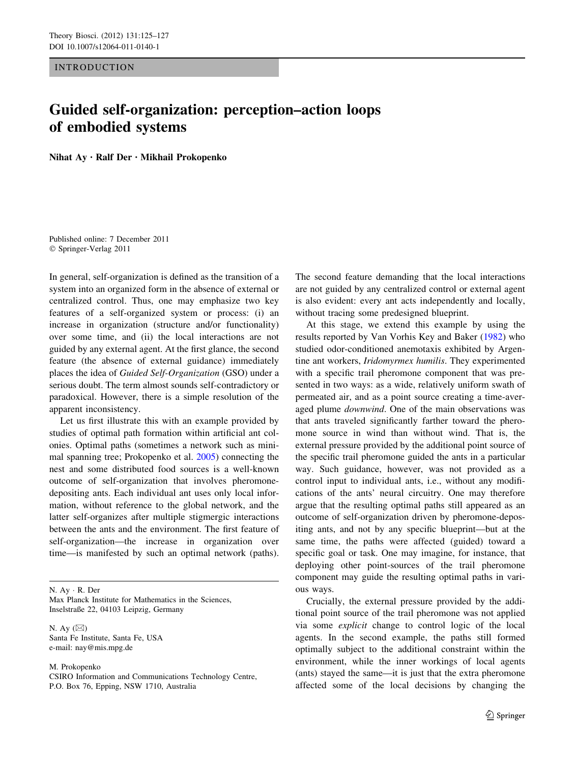**INTRODUCTION** 

## Guided self-organization: perception–action loops of embodied systems

Nihat Ay • Ralf Der • Mikhail Prokopenko

Published online: 7 December 2011 © Springer-Verlag 2011

In general, self-organization is defined as the transition of a system into an organized form in the absence of external or centralized control. Thus, one may emphasize two key features of a self-organized system or process: (i) an increase in organization (structure and/or functionality) over some time, and (ii) the local interactions are not guided by any external agent. At the first glance, the second feature (the absence of external guidance) immediately places the idea of Guided Self-Organization (GSO) under a serious doubt. The term almost sounds self-contradictory or paradoxical. However, there is a simple resolution of the apparent inconsistency.

Let us first illustrate this with an example provided by studies of optimal path formation within artificial ant colonies. Optimal paths (sometimes a network such as minimal spanning tree; Prokopenko et al. [2005](#page-2-0)) connecting the nest and some distributed food sources is a well-known outcome of self-organization that involves pheromonedepositing ants. Each individual ant uses only local information, without reference to the global network, and the latter self-organizes after multiple stigmergic interactions between the ants and the environment. The first feature of self-organization—the increase in organization over time—is manifested by such an optimal network (paths).

N. Ay - R. Der

Max Planck Institute for Mathematics in the Sciences, Inselstraße 22, 04103 Leipzig, Germany

N. Ay  $(\boxtimes)$ Santa Fe Institute, Santa Fe, USA e-mail: nay@mis.mpg.de

M. Prokopenko

CSIRO Information and Communications Technology Centre, P.O. Box 76, Epping, NSW 1710, Australia

The second feature demanding that the local interactions are not guided by any centralized control or external agent is also evident: every ant acts independently and locally, without tracing some predesigned blueprint.

At this stage, we extend this example by using the results reported by Van Vorhis Key and Baker ([1982\)](#page-2-0) who studied odor-conditioned anemotaxis exhibited by Argentine ant workers, Iridomyrmex humilis. They experimented with a specific trail pheromone component that was presented in two ways: as a wide, relatively uniform swath of permeated air, and as a point source creating a time-averaged plume downwind. One of the main observations was that ants traveled significantly farther toward the pheromone source in wind than without wind. That is, the external pressure provided by the additional point source of the specific trail pheromone guided the ants in a particular way. Such guidance, however, was not provided as a control input to individual ants, i.e., without any modifications of the ants' neural circuitry. One may therefore argue that the resulting optimal paths still appeared as an outcome of self-organization driven by pheromone-depositing ants, and not by any specific blueprint—but at the same time, the paths were affected (guided) toward a specific goal or task. One may imagine, for instance, that deploying other point-sources of the trail pheromone component may guide the resulting optimal paths in various ways.

Crucially, the external pressure provided by the additional point source of the trail pheromone was not applied via some explicit change to control logic of the local agents. In the second example, the paths still formed optimally subject to the additional constraint within the environment, while the inner workings of local agents (ants) stayed the same—it is just that the extra pheromone affected some of the local decisions by changing the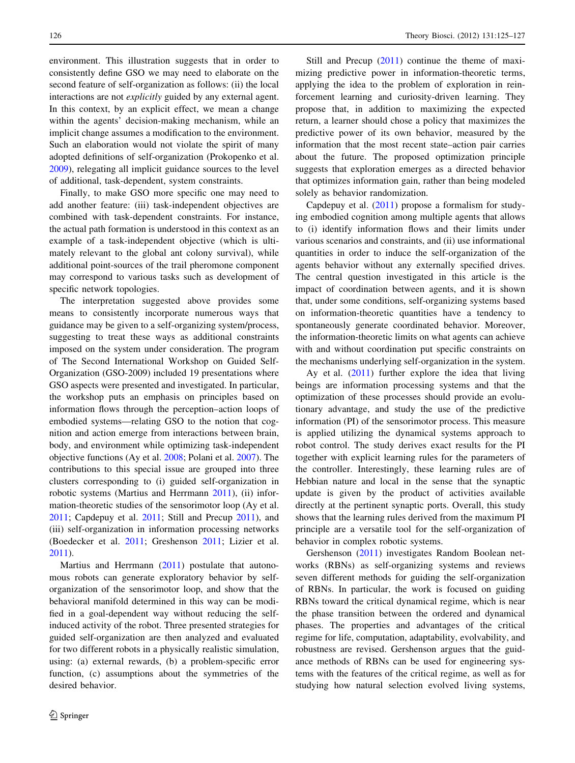environment. This illustration suggests that in order to consistently define GSO we may need to elaborate on the second feature of self-organization as follows: (ii) the local interactions are not *explicitly* guided by any external agent. In this context, by an explicit effect, we mean a change within the agents' decision-making mechanism, while an implicit change assumes a modification to the environment. Such an elaboration would not violate the spirit of many adopted definitions of self-organization (Prokopenko et al. [2009\)](#page-2-0), relegating all implicit guidance sources to the level of additional, task-dependent, system constraints.

Finally, to make GSO more specific one may need to add another feature: (iii) task-independent objectives are combined with task-dependent constraints. For instance, the actual path formation is understood in this context as an example of a task-independent objective (which is ultimately relevant to the global ant colony survival), while additional point-sources of the trail pheromone component may correspond to various tasks such as development of specific network topologies.

The interpretation suggested above provides some means to consistently incorporate numerous ways that guidance may be given to a self-organizing system/process, suggesting to treat these ways as additional constraints imposed on the system under consideration. The program of The Second International Workshop on Guided Self-Organization (GSO-2009) included 19 presentations where GSO aspects were presented and investigated. In particular, the workshop puts an emphasis on principles based on information flows through the perception–action loops of embodied systems—relating GSO to the notion that cognition and action emerge from interactions between brain, body, and environment while optimizing task-independent objective functions (Ay et al. [2008;](#page-2-0) Polani et al. [2007](#page-2-0)). The contributions to this special issue are grouped into three clusters corresponding to (i) guided self-organization in robotic systems (Martius and Herrmann [2011](#page-2-0)), (ii) information-theoretic studies of the sensorimotor loop (Ay et al. [2011;](#page-2-0) Capdepuy et al. [2011](#page-2-0); Still and Precup [2011\)](#page-2-0), and (iii) self-organization in information processing networks (Boedecker et al. [2011;](#page-2-0) Greshenson [2011;](#page-2-0) Lizier et al. [2011\)](#page-2-0).

Martius and Herrmann ([2011\)](#page-2-0) postulate that autonomous robots can generate exploratory behavior by selforganization of the sensorimotor loop, and show that the behavioral manifold determined in this way can be modified in a goal-dependent way without reducing the selfinduced activity of the robot. Three presented strategies for guided self-organization are then analyzed and evaluated for two different robots in a physically realistic simulation, using: (a) external rewards, (b) a problem-specific error function, (c) assumptions about the symmetries of the desired behavior.

Still and Precup [\(2011](#page-2-0)) continue the theme of maximizing predictive power in information-theoretic terms, applying the idea to the problem of exploration in reinforcement learning and curiosity-driven learning. They propose that, in addition to maximizing the expected return, a learner should chose a policy that maximizes the predictive power of its own behavior, measured by the information that the most recent state–action pair carries about the future. The proposed optimization principle suggests that exploration emerges as a directed behavior that optimizes information gain, rather than being modeled solely as behavior randomization.

Capdepuy et al. ([2011\)](#page-2-0) propose a formalism for studying embodied cognition among multiple agents that allows to (i) identify information flows and their limits under various scenarios and constraints, and (ii) use informational quantities in order to induce the self-organization of the agents behavior without any externally specified drives. The central question investigated in this article is the impact of coordination between agents, and it is shown that, under some conditions, self-organizing systems based on information-theoretic quantities have a tendency to spontaneously generate coordinated behavior. Moreover, the information-theoretic limits on what agents can achieve with and without coordination put specific constraints on the mechanisms underlying self-organization in the system.

Ay et al.  $(2011)$  further explore the idea that living beings are information processing systems and that the optimization of these processes should provide an evolutionary advantage, and study the use of the predictive information (PI) of the sensorimotor process. This measure is applied utilizing the dynamical systems approach to robot control. The study derives exact results for the PI together with explicit learning rules for the parameters of the controller. Interestingly, these learning rules are of Hebbian nature and local in the sense that the synaptic update is given by the product of activities available directly at the pertinent synaptic ports. Overall, this study shows that the learning rules derived from the maximum PI principle are a versatile tool for the self-organization of behavior in complex robotic systems.

Gershenson [\(2011](#page-2-0)) investigates Random Boolean networks (RBNs) as self-organizing systems and reviews seven different methods for guiding the self-organization of RBNs. In particular, the work is focused on guiding RBNs toward the critical dynamical regime, which is near the phase transition between the ordered and dynamical phases. The properties and advantages of the critical regime for life, computation, adaptability, evolvability, and robustness are revised. Gershenson argues that the guidance methods of RBNs can be used for engineering systems with the features of the critical regime, as well as for studying how natural selection evolved living systems,